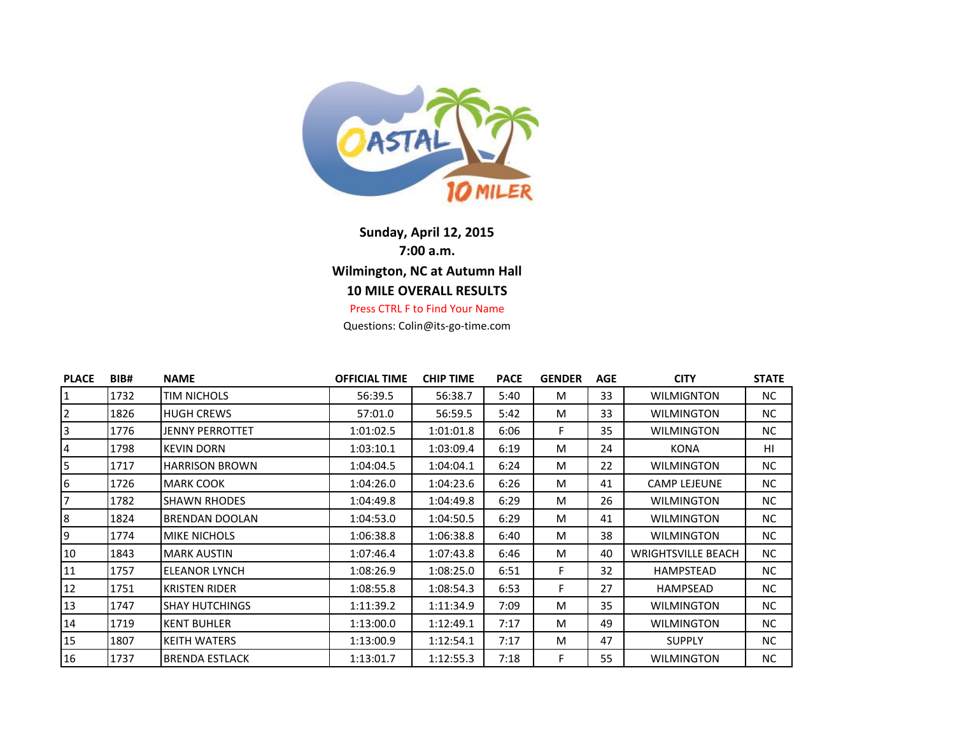

## **Sunday, April 12, 2015 7:00 a.m. Wilmington, NC at Autumn Hall 10 MILE OVERALL RESULTS** Press CTRL F to Find Your Name

Questions: Colin@its-go-time.com

| <b>PLACE</b> | BIB# | <b>NAME</b>           | <b>OFFICIAL TIME</b> | <b>CHIP TIME</b> | <b>PACE</b> | <b>GENDER</b> | <b>AGE</b> | <b>CITY</b>               | <b>STATE</b> |
|--------------|------|-----------------------|----------------------|------------------|-------------|---------------|------------|---------------------------|--------------|
| 1            | 1732 | TIM NICHOLS           | 56:39.5              | 56:38.7          | 5:40        | M             | 33         | <b>WILMIGNTON</b>         | NC.          |
| 2            | 1826 | <b>HUGH CREWS</b>     | 57:01.0              | 56:59.5          | 5:42        | M             | 33         | WILMINGTON                | NC.          |
| 3            | 1776 | JENNY PERROTTET       | 1:01:02.5            | 1:01:01.8        | 6:06        | F.            | 35         | WILMINGTON                | NC.          |
| 4            | 1798 | <b>KEVIN DORN</b>     | 1:03:10.1            | 1:03:09.4        | 6:19        | M             | 24         | KONA                      | HI           |
| 5            | 1717 | <b>HARRISON BROWN</b> | 1:04:04.5            | 1:04:04.1        | 6:24        | M             | 22         | WILMINGTON                | NC.          |
| 6            | 1726 | <b>MARK COOK</b>      | 1:04:26.0            | 1:04:23.6        | 6:26        | M             | 41         | <b>CAMP LEJEUNE</b>       | NC.          |
| 7            | 1782 | <b>SHAWN RHODES</b>   | 1:04:49.8            | 1:04:49.8        | 6:29        | M             | 26         | WILMINGTON                | NC.          |
| 8            | 1824 | BRENDAN DOOLAN        | 1:04:53.0            | 1:04:50.5        | 6:29        | M             | 41         | WILMINGTON                | NC.          |
| 9            | 1774 | <b>MIKE NICHOLS</b>   | 1:06:38.8            | 1:06:38.8        | 6:40        | M             | 38         | WILMINGTON                | NC.          |
| 10           | 1843 | <b>MARK AUSTIN</b>    | 1:07:46.4            | 1:07:43.8        | 6:46        | M             | 40         | <b>WRIGHTSVILLE BEACH</b> | NC.          |
| 11           | 1757 | ELEANOR LYNCH         | 1:08:26.9            | 1:08:25.0        | 6:51        | F.            | 32         | HAMPSTEAD                 | NC.          |
| 12           | 1751 | <b>KRISTEN RIDER</b>  | 1:08:55.8            | 1:08:54.3        | 6:53        | F.            | 27         | HAMPSEAD                  | NC.          |
| 13           | 1747 | <b>SHAY HUTCHINGS</b> | 1:11:39.2            | 1:11:34.9        | 7:09        | M             | 35         | <b>WILMINGTON</b>         | NC.          |
| 14           | 1719 | <b>KENT BUHLER</b>    | 1:13:00.0            | 1:12:49.1        | 7:17        | M             | 49         | WILMINGTON                | NC.          |
| 15           | 1807 | <b>KEITH WATERS</b>   | 1:13:00.9            | 1:12:54.1        | 7:17        | M             | 47         | <b>SUPPLY</b>             | NC.          |
| 16           | 1737 | <b>BRENDA ESTLACK</b> | 1:13:01.7            | 1:12:55.3        | 7:18        | F.            | 55         | WILMINGTON                | NC.          |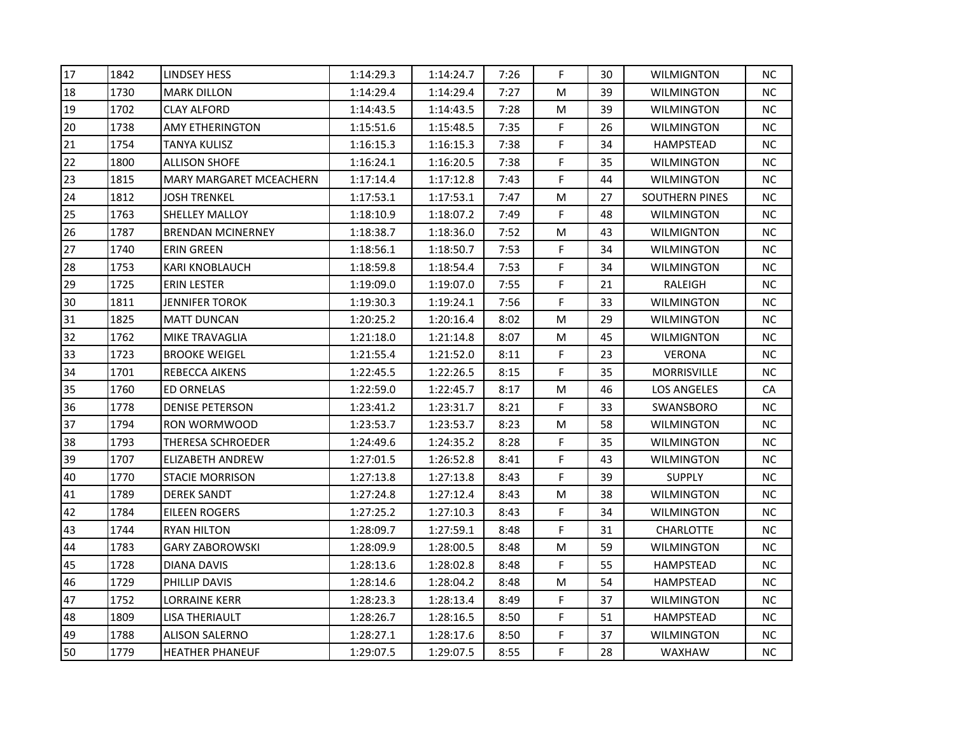| 17 | 1842 | <b>LINDSEY HESS</b>            | 1:14:29.3 | 1:14:24.7 | 7:26 | F. | 30 | WILMIGNTON            | NC.       |
|----|------|--------------------------------|-----------|-----------|------|----|----|-----------------------|-----------|
| 18 | 1730 | <b>MARK DILLON</b>             | 1:14:29.4 | 1:14:29.4 | 7:27 | M  | 39 | <b>WILMINGTON</b>     | NC.       |
| 19 | 1702 | <b>CLAY ALFORD</b>             | 1:14:43.5 | 1:14:43.5 | 7:28 | M  | 39 | <b>WILMINGTON</b>     | <b>NC</b> |
| 20 | 1738 | <b>AMY ETHERINGTON</b>         | 1:15:51.6 | 1:15:48.5 | 7:35 | F  | 26 | WILMINGTON            | <b>NC</b> |
| 21 | 1754 | TANYA KULISZ                   | 1:16:15.3 | 1:16:15.3 | 7:38 | F  | 34 | <b>HAMPSTEAD</b>      | NC.       |
| 22 | 1800 | <b>ALLISON SHOFE</b>           | 1:16:24.1 | 1:16:20.5 | 7:38 | F  | 35 | WILMINGTON            | ΝC        |
| 23 | 1815 | <b>MARY MARGARET MCEACHERN</b> | 1:17:14.4 | 1:17:12.8 | 7:43 | F  | 44 | WILMINGTON            | ΝC        |
| 24 | 1812 | <b>JOSH TRENKEL</b>            | 1:17:53.1 | 1:17:53.1 | 7:47 | M  | 27 | <b>SOUTHERN PINES</b> | NC        |
| 25 | 1763 | SHELLEY MALLOY                 | 1:18:10.9 | 1:18:07.2 | 7:49 | F  | 48 | <b>WILMINGTON</b>     | <b>NC</b> |
| 26 | 1787 | <b>BRENDAN MCINERNEY</b>       | 1:18:38.7 | 1:18:36.0 | 7:52 | M  | 43 | <b>WILMIGNTON</b>     | <b>NC</b> |
| 27 | 1740 | <b>ERIN GREEN</b>              | 1:18:56.1 | 1:18:50.7 | 7:53 | F  | 34 | <b>WILMINGTON</b>     | <b>NC</b> |
| 28 | 1753 | KARI KNOBLAUCH                 | 1:18:59.8 | 1:18:54.4 | 7:53 | F  | 34 | WILMINGTON            | ΝC        |
| 29 | 1725 | <b>ERIN LESTER</b>             | 1:19:09.0 | 1:19:07.0 | 7:55 | F  | 21 | RALEIGH               | <b>NC</b> |
| 30 | 1811 | <b>JENNIFER TOROK</b>          | 1:19:30.3 | 1:19:24.1 | 7:56 | F  | 33 | WILMINGTON            | <b>NC</b> |
| 31 | 1825 | <b>MATT DUNCAN</b>             | 1:20:25.2 | 1:20:16.4 | 8:02 | M  | 29 | WILMINGTON            | NС        |
| 32 | 1762 | MIKE TRAVAGLIA                 | 1:21:18.0 | 1:21:14.8 | 8:07 | M  | 45 | WILMIGNTON            | NC.       |
| 33 | 1723 | <b>BROOKE WEIGEL</b>           | 1:21:55.4 | 1:21:52.0 | 8:11 | F  | 23 | <b>VERONA</b>         | <b>NC</b> |
| 34 | 1701 | REBECCA AIKENS                 | 1:22:45.5 | 1:22:26.5 | 8:15 | F  | 35 | MORRISVILLE           | <b>NC</b> |
| 35 | 1760 | <b>ED ORNELAS</b>              | 1:22:59.0 | 1:22:45.7 | 8:17 | M  | 46 | <b>LOS ANGELES</b>    | <b>CA</b> |
| 36 | 1778 | <b>DENISE PETERSON</b>         | 1:23:41.2 | 1:23:31.7 | 8:21 | F  | 33 | SWANSBORO             | ΝC        |
| 37 | 1794 | RON WORMWOOD                   | 1:23:53.7 | 1:23:53.7 | 8:23 | M  | 58 | WILMINGTON            | NC.       |
| 38 | 1793 | THERESA SCHROEDER              | 1:24:49.6 | 1:24:35.2 | 8:28 | F  | 35 | <b>WILMINGTON</b>     | <b>NC</b> |
| 39 | 1707 | <b>ELIZABETH ANDREW</b>        | 1:27:01.5 | 1:26:52.8 | 8:41 | F  | 43 | WILMINGTON            | <b>NC</b> |
| 40 | 1770 | <b>STACIE MORRISON</b>         | 1:27:13.8 | 1:27:13.8 | 8:43 | F  | 39 | <b>SUPPLY</b>         | <b>NC</b> |
| 41 | 1789 | <b>DEREK SANDT</b>             | 1:27:24.8 | 1:27:12.4 | 8:43 | M  | 38 | WILMINGTON            | ΝC        |
| 42 | 1784 | EILEEN ROGERS                  | 1:27:25.2 | 1:27:10.3 | 8:43 | F  | 34 | WILMINGTON            | NC.       |
| 43 | 1744 | <b>RYAN HILTON</b>             | 1:28:09.7 | 1:27:59.1 | 8:48 | F  | 31 | <b>CHARLOTTE</b>      | <b>NC</b> |
| 44 | 1783 | <b>GARY ZABOROWSKI</b>         | 1:28:09.9 | 1:28:00.5 | 8:48 | M  | 59 | WILMINGTON            | <b>NC</b> |
| 45 | 1728 | DIANA DAVIS                    | 1:28:13.6 | 1:28:02.8 | 8:48 | F  | 55 | <b>HAMPSTEAD</b>      | <b>NC</b> |
| 46 | 1729 | PHILLIP DAVIS                  | 1:28:14.6 | 1:28:04.2 | 8:48 | M  | 54 | <b>HAMPSTEAD</b>      | <b>NC</b> |
| 47 | 1752 | <b>LORRAINE KERR</b>           | 1:28:23.3 | 1:28:13.4 | 8:49 | F  | 37 | <b>WILMINGTON</b>     | <b>NC</b> |
| 48 | 1809 | LISA THERIAULT                 | 1:28:26.7 | 1:28:16.5 | 8:50 | F  | 51 | <b>HAMPSTEAD</b>      | <b>NC</b> |
| 49 | 1788 | <b>ALISON SALERNO</b>          | 1:28:27.1 | 1:28:17.6 | 8:50 | F  | 37 | <b>WILMINGTON</b>     | <b>NC</b> |
| 50 | 1779 | <b>HEATHER PHANEUF</b>         | 1:29:07.5 | 1:29:07.5 | 8:55 | F  | 28 | WAXHAW                | <b>NC</b> |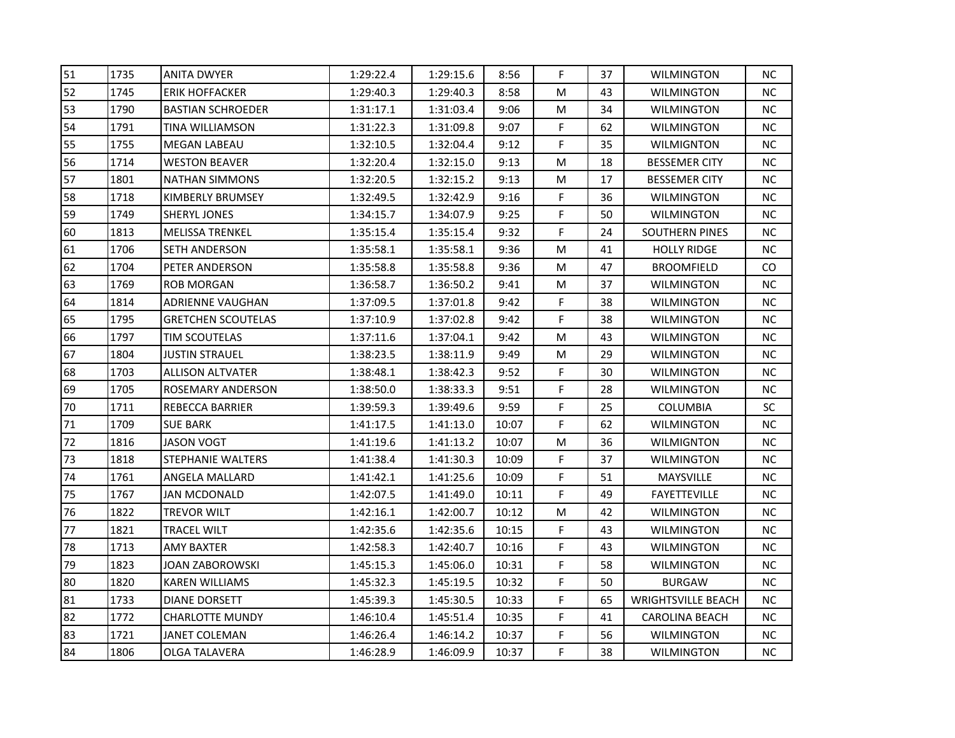| 51 | 1735 | <b>ANITA DWYER</b>        | 1:29:22.4 | 1:29:15.6 | 8:56  | F         | 37 | WILMINGTON            | NC.       |
|----|------|---------------------------|-----------|-----------|-------|-----------|----|-----------------------|-----------|
| 52 | 1745 | <b>ERIK HOFFACKER</b>     | 1:29:40.3 | 1:29:40.3 | 8:58  | М         | 43 | <b>WILMINGTON</b>     | NC.       |
| 53 | 1790 | <b>BASTIAN SCHROEDER</b>  | 1:31:17.1 | 1:31:03.4 | 9:06  | M         | 34 | <b>WILMINGTON</b>     | <b>NC</b> |
| 54 | 1791 | TINA WILLIAMSON           | 1:31:22.3 | 1:31:09.8 | 9:07  | F         | 62 | <b>WILMINGTON</b>     | <b>NC</b> |
| 55 | 1755 | <b>MEGAN LABEAU</b>       | 1:32:10.5 | 1:32:04.4 | 9:12  | F         | 35 | WILMIGNTON            | NC.       |
| 56 | 1714 | <b>WESTON BEAVER</b>      | 1:32:20.4 | 1:32:15.0 | 9:13  | M         | 18 | <b>BESSEMER CITY</b>  | <b>NC</b> |
| 57 | 1801 | <b>NATHAN SIMMONS</b>     | 1:32:20.5 | 1:32:15.2 | 9:13  | M         | 17 | <b>BESSEMER CITY</b>  | ΝC        |
| 58 | 1718 | KIMBERLY BRUMSEY          | 1:32:49.5 | 1:32:42.9 | 9:16  | F         | 36 | <b>WILMINGTON</b>     | <b>NC</b> |
| 59 | 1749 | <b>SHERYL JONES</b>       | 1:34:15.7 | 1:34:07.9 | 9:25  | F         | 50 | WILMINGTON            | <b>NC</b> |
| 60 | 1813 | <b>MELISSA TRENKEL</b>    | 1:35:15.4 | 1:35:15.4 | 9:32  | F         | 24 | <b>SOUTHERN PINES</b> | <b>NC</b> |
| 61 | 1706 | <b>SETH ANDERSON</b>      | 1:35:58.1 | 1:35:58.1 | 9:36  | M         | 41 | <b>HOLLY RIDGE</b>    | NC.       |
| 62 | 1704 | PETER ANDERSON            | 1:35:58.8 | 1:35:58.8 | 9:36  | M         | 47 | <b>BROOMFIELD</b>     | CO.       |
| 63 | 1769 | <b>ROB MORGAN</b>         | 1:36:58.7 | 1:36:50.2 | 9:41  | M         | 37 | WILMINGTON            | <b>NC</b> |
| 64 | 1814 | <b>ADRIENNE VAUGHAN</b>   | 1:37:09.5 | 1:37:01.8 | 9:42  | F         | 38 | WILMINGTON            | NC.       |
| 65 | 1795 | <b>GRETCHEN SCOUTELAS</b> | 1:37:10.9 | 1:37:02.8 | 9:42  | F         | 38 | WILMINGTON            | <b>NC</b> |
| 66 | 1797 | TIM SCOUTELAS             | 1:37:11.6 | 1:37:04.1 | 9:42  | M         | 43 | WILMINGTON            | ΝC        |
| 67 | 1804 | <b>JUSTIN STRAUEL</b>     | 1:38:23.5 | 1:38:11.9 | 9:49  | M         | 29 | WILMINGTON            | ΝC        |
| 68 | 1703 | <b>ALLISON ALTVATER</b>   | 1:38:48.1 | 1:38:42.3 | 9:52  | F         | 30 | <b>WILMINGTON</b>     | <b>NC</b> |
| 69 | 1705 | ROSEMARY ANDERSON         | 1:38:50.0 | 1:38:33.3 | 9:51  | F         | 28 | WILMINGTON            | <b>NC</b> |
| 70 | 1711 | <b>REBECCA BARRIER</b>    | 1:39:59.3 | 1:39:49.6 | 9:59  | F         | 25 | <b>COLUMBIA</b>       | SC        |
| 71 | 1709 | <b>SUE BARK</b>           | 1:41:17.5 | 1:41:13.0 | 10:07 | F         | 62 | <b>WILMINGTON</b>     | <b>NC</b> |
| 72 | 1816 | JASON VOGT                | 1:41:19.6 | 1:41:13.2 | 10:07 | M         | 36 | WILMIGNTON            | <b>NC</b> |
| 73 | 1818 | <b>STEPHANIE WALTERS</b>  | 1:41:38.4 | 1:41:30.3 | 10:09 | F         | 37 | <b>WILMINGTON</b>     | <b>NC</b> |
| 74 | 1761 | ANGELA MALLARD            | 1:41:42.1 | 1:41:25.6 | 10:09 | F         | 51 | MAYSVILLE             | <b>NC</b> |
| 75 | 1767 | <b>JAN MCDONALD</b>       | 1:42:07.5 | 1:41:49.0 | 10:11 | F         | 49 | <b>FAYETTEVILLE</b>   | NC.       |
| 76 | 1822 | <b>TREVOR WILT</b>        | 1:42:16.1 | 1:42:00.7 | 10:12 | ${\sf M}$ | 42 | <b>WILMINGTON</b>     | <b>NC</b> |
| 77 | 1821 | TRACEL WILT               | 1:42:35.6 | 1:42:35.6 | 10:15 | F         | 43 | WILMINGTON            | <b>NC</b> |
| 78 | 1713 | AMY BAXTER                | 1:42:58.3 | 1:42:40.7 | 10:16 | F         | 43 | WILMINGTON            | ΝC        |
| 79 | 1823 | JOAN ZABOROWSKI           | 1:45:15.3 | 1:45:06.0 | 10:31 | F         | 58 | <b>WILMINGTON</b>     | NC        |
| 80 | 1820 | <b>KAREN WILLIAMS</b>     | 1:45:32.3 | 1:45:19.5 | 10:32 | F         | 50 | <b>BURGAW</b>         | <b>NC</b> |
| 81 | 1733 | DIANE DORSETT             | 1:45:39.3 | 1:45:30.5 | 10:33 | F         | 65 | WRIGHTSVILLE BEACH    | NC.       |
| 82 | 1772 | <b>CHARLOTTE MUNDY</b>    | 1:46:10.4 | 1:45:51.4 | 10:35 | F         | 41 | <b>CAROLINA BEACH</b> | <b>NC</b> |
| 83 | 1721 | JANET COLEMAN             | 1:46:26.4 | 1:46:14.2 | 10:37 | F         | 56 | <b>WILMINGTON</b>     | ΝC        |
| 84 | 1806 | <b>OLGA TALAVERA</b>      | 1:46:28.9 | 1:46:09.9 | 10:37 | F.        | 38 | WILMINGTON            | <b>NC</b> |